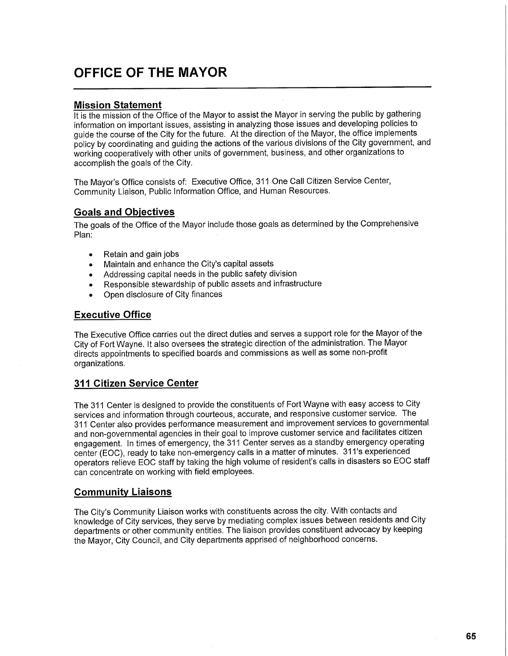# **OFFICE OF THE MAYOR**

### **Mission Statement**

It is the mission of the Office of the Mayor to assist the Mayor in serving the public by gathering information on important issues, assisting in analyzing those issues and developing policies to guide the course of the City for the future. At the direction of the Mayor, the office implements policy by coordinating and guiding the actions of the various divisions of the City government, and working cooperatively with other units of government, business, and other organizations to accomplish the goals of the City.

The Mayor's Office consists of: Executive Office, 311 One Call Citizen Service Center, Community Liaison, Public Information Office, and Human Resources.

#### **Goals and Objectives**

The goals of the Office of the Mayor include those goals as determined by the Comprehensive Plan:

- Retain and gain jobs
- Maintain and enhance the City's capital assets
- Addressing capital needs in the public safety division
- Responsible stewardship of public assets and infrastructure
- Open disclosure of City finances

#### **Executive Office**

The Executive Office carries out the direct duties and serves a support role for the Mayor of the City of Fort Wayne. It also oversees the strategic direction of the administration. The Mayor directs appointments to specified boards and commissions as well as some non-profit organizations.

#### **311 Citizen Service Center**

The 311 Center is designed to provide the constituents of Fort Wayne with easy access to City services and information through courteous, accurate, and responsive customer service. The 311 Center also provides performance measurement and improvement services to governmental and non-governmental agencies in their goal to improve customer service and facilitates citizen engagement. In times of emergency, the 311 Center serves as a standby emergency operating center (EOC), ready to take non-emergency calls in a matter of minutes. 311's experienced operators relieve EOC staff by taking the high volume of resident's calls in disasters so EOC staff can concentrate on working with field employees.

#### **Community Liaisons**

The City's Community Liaison works with constituents across the city. With contacts and knowledge of City services, they serve by mediating complex issues between residents and City departments or other community entities. The liaison provides constituent advocacy by keeping the Mayor, City Council, and City departments apprised of neighborhood concerns.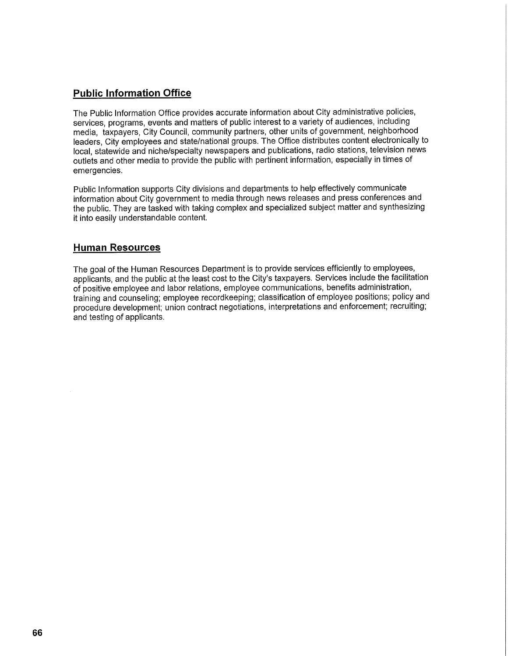## **Public Information Office**

The Public Information Office provides accurate information about City administrative policies, services, programs, events and matters of public interest to a variety of audiences, including media, taxpayers, City Council, community partners, other units of government, neighborhood leaders, City employees and state/national groups. The Office distributes content electronically to local, statewide and niche/specialty newspapers and publications, radio stations, television news outlets and other media to provide the public with pertinent information, especially in times of emergencies.

Public Information supports City divisions and departments to help effectively communicate information about City government to media through news releases and press conferences and the public. They are tasked with taking complex and specialized subject matter and synthesizing it into easily understandable content.

### **Human Resources**

The goal of the Human Resources Department is to provide services efficiently to employees, applicants, and the public at the least cost to the City's taxpayers. Services include the facilitation of positive employee and labor relations, employee communications, benefits administration, training and counseling; employee recordkeeping; classification of employee positions; policy and procedure development; union contract negotiations, interpretations and enforcement; recruiting; and testing of applicants.